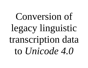Conversion of legacy linguistic transcription data to *Unicode 4.0*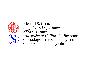

Richard S. COOK *Linguistics Department STEDT Project University of California, Berkeley* <rscook@socrates.berkeley.edu> <http://stedt.berkeley.edu/>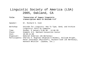# Linguistic Society of America (LSA) 2005, Oakland, CA

**Title: "Conversion of legacy linguistic transcription data to Unicode 4.0"** 

Speaker: Dr. Richard S. Cook

 Workshop: Unicode for Linguists: How To Type, Send, and Archive Linguistic Texts by Computer Time: Sunday, 9 January 9:00 AM - 12:00 PM Place: Simmons 3/4, Oakland Convention Center

Slot: 10:30-11:00

Organizer: Deborah Anderson (UC-Berkeley)

 Participants: Charles A. Bigelow (Bigelow & Holmes), William Bright, Peter Constable (Microsoft), Richard Cook (UC Berkeley), Kenneth Whistler (Sybase, Inc.)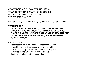# **CONVERSION OF LEGACY LINGUISTIC TRANSCRIPTION DATA TO UNICODE 4.0**

Richard Cook <rscook@unicode.org> LSA Workshop 2005/01/09

Re-representing (in Unicode) a legacy (non-Unicode) representation

# **TERMINOLOGY:**

 **LEGACY DATA, CODE POINT (CODEPOINT), PLAIN TEXT, ENCODING, CUSTOM ENCODING, STANDARD ENCODING, ENCODING MODEL, UNICODE SCALAR VALUE, USV, MAPPING, CHARACTER SET (CHARACTERSET), ENCODING FORM, NORMALIZATION**

# **LEGACY DATA**

 Most broadly: anything written, or a representation of anything written, from inscriptional or epigraphic material, to clay or silk or paper books, to graphical images, to pre-Unicode 4.X computer data. Strictly: pre-Unicode 4.X *computer* data.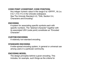# **CODE POINT (CODEPOINT, CODE POSITION)**

 Any integer numeric value in the range 0 to 10FFFF\_16 (i.e. 0 to 1,114,111) in the Unicode codespace. See The Unicode Standard 4.0, "D4b, Section 3.4, Characters and Encoding"

## **ENCODING**

 A system for associating speci fic symbols each with speci fic numbers. The "abstract character" together with its associated USV (code point) constitutes an "Encoded Character".

# **CUSTOM ENCODING**

A relatively non-standard encoding.

# **STANDARD ENCODING**

 A wide-spread encoding system, in general or universal use among users in a particular community.

### **ENCODING MODEL**

 The design principles behind a given encoding. This includes, for example, such things as the criteria for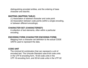distinguishing encoded entities, and the ordering of base character and diacritic.

### **MAPPING (MAPPING TABLE)**

(1) Association of abstract character and code point.

(2) Association between code points (within a single encoding,

or between different encodings).

## **CHARACTER SET (CHARACTERSET)**

 A collection of text elements, often within a particular encoding.

### **ENCODING FORM (CHARACTER ENCODING FORM)**

 Mapping from a character set de finition to the actual CODE UNITS used to represent the data.

### **CODE UNIT**

 The minimal bit combination that can represent a unit of encoded text. The Unicode Standard uses 8-bit code units in the UTF-8 encoding form, 16-bit code units in the UTF-16 encoding form, and 32-bit code units in the UTF-32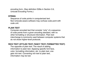encoding form. (See definition D28a in Section 3.9, Unicode Encoding Forms.)

#### **STRING**

 Sequence of code points in computerized text. Non-Unicode-aware software may confuse code point with code unit.

### **PLAIN TEXT**

 Computer-encoded text that consists \*only\* of a sequence of code points from a given encoding standard, with no other formatting or structural information. Plain text interchange is commonly used between computer systems that do not share higher-level protocols.

### **RICH TEXT (STYLED TEXT, FANCY TEXT, FORMATTED TEXT)**

 The opposite of plain text. The result of adding information to plain text. Applying specific font face, color, formatting information, etc. to plain text, one gets rich text. Converting rich text to plain text, information may be lost.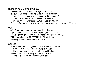# **UNICODE SCALAR VALUE (USV)**

 Any Unicode code point except high-surrogate and low-surrogate code points. As a result of this de finition, the set of Unicode scalar values consists of the ranges 0 to D7FF 16 and E000 16 to 10FFFF 16, inclusive. From The Unicode Standard 4.0, "D28, Section 3.9, Unicode Encoding Forms" <http://www.unicode.org/versions/Unicode4.0.0/ch03.pdf>

# **USV**

 A "U+" pre fixed upper- or lower-case hexadecimal representation of \*any\* UCS code point (not necessarily excluding surrogates). Matches the regex  $\wedge$ U\+[0-9A-Fa-f]{4,6}\$/ With bracketing, e.g. [U+7329][U+9be8], a fall-back encoding form (in the WenLin text editor).

# **SCALAR**

 1. <mathematics> A single number, as opposed to a vector or matrix of numbers. Thus, for example, "scalar multiplication" refers to the operation of multiplying one number (one scalar) by another and is used to contrast this with "matrix multiplication" etc.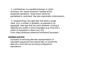2. <architecture> In a parallel processor or vector processor, the "scalar processor" handles all the sequential operations - those which cannot be parallelised or vectorised. See also superscalar (uniprocessor).

 3. <programming> Any data type that stores a single value (e.g. a number or Boolean), as opposed to an aggregate data type that has many elements. A string is regarded as a scalar in some languages (e.g. Perl) and a vector of characters in others (e.g. {C}). From <http://dictionary.reference.com/search?q=scalar>.

### **NORMALIZATION**

 A process of removing alternate representations of equivalent sequences from textual data, to convert the data into a form that can be binary-compared for equivalence.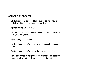# **CONVERSION PROCESS:**

- (0) Realizing that it needed to be done, learning how to do it, and that it could only be done in stages;
- (1) Mapping to Unicode 3.0;
- (2) Formal proposal of unencoded characters for inclusion in Unicode/ISO 10646;
- (3) Mapping to Unicode 4.0;
- (4) Creation of tools for conversion of the custom-encoded data;
- (5) Creation of tools for use of the new Unicode data.

 Complete standard mapping of this character set became possible only with the advent of Unicode 4.0, with the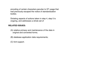encoding of certain characters peculiar to ST usage that had previously escaped the notice of standardization bodies.

 Dictating aspects of actions taken in step 4, step 5 is ongoing, and addresses a whole set of

# **RELATED ISSUES:**

 (A) relative primacy and maintenance of the data in original and converted forms;

(B) database application data requirements;

(C) font support.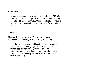#### **CONCLUSION**

 Unicode now serves as the standard interface to STEDT's lexical data, and with application and font support coming soon to a computer near you, Unicode will provide linguists worldwide with access to this valuable data for years to come.

#### **See also:**

Unicode Technical Note 19 (Deborah Anderson et al.) <http://www.unicode.org/notes/tn19/> (forthcoming)

 Linguists who are interested in establishing a standard way to transcribe a language, whether anyone has transcribed it before or not, whether it has an orthography of its own already or not, and whether this transcription is relatively narrow or broad, could benefit from reading this.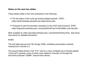### **Notes on the next two slides:**

These tables relate to the work presented in the following:

- "On the status of the curly-tail alveolo-palatal symbols." (PDF) <http://stedt.berkeley.edu/pdf/curly-tailed-tdnlcz.pdf>
- "Proposal to add five phonetic characters to the UCS" [with Everson]. (PDF) <http://linguistics.berkeley.edu/~rscook/pdf/UniProp-Final/n2366r-curly-tail.pdf>

Both available at <http://socrates.berkeley.edu/~rscook/html/writing.html>. See those documents for detailed discussion.

Briefly:

The first table derives from Wu Zongji (1992), exhibiting transcription symbols missing from Unicode 3.x.

The second table shows in the "A-P" column a more complete set of alveolo-palatal ("culry-tail") symbols, some of which were added to Unicode 4.0 through the document proposal "n2366r" (second item above).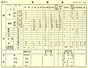附录一

表

标

(吴宗济 WU, 1992)

|   | 方            | 部<br>位<br>法                              | 唇<br>双                             | 唇<br>古    | 间<br>齿                       | 舌尖前舌尖后                    |                                         | 舌叶<br>(舌尖)              | 舌前                                                                         | 舌面中                        | 舌根<br>活面<br>后)                    | 小舌喉壁                                |              | 喉                                      |
|---|--------------|------------------------------------------|------------------------------------|-----------|------------------------------|---------------------------|-----------------------------------------|-------------------------|----------------------------------------------------------------------------|----------------------------|-----------------------------------|-------------------------------------|--------------|----------------------------------------|
| 辅 | 塞            | 不送气<br>清<br>送<br>气<br>不送气<br>浊<br>送<br>气 | p<br>$p^*$<br>$\mathbf b$<br>$b^*$ |           |                              | τ<br>$t^*$<br>d<br>q.     | $t^*$<br>$\mathbf{d}$<br>$\mathbf{d}^*$ |                         | $\overline{\mathfrak{t}^{\mathfrak{c}}}$<br>$\frac{1}{2}$<br>$\frac{1}{4}$ | $\mathbf c$<br>$c^*$<br>ì, | K<br>$\mathbf{k}^*$<br>g<br>$g^*$ | $\mathbf{q}$<br>$q^*$<br>G<br>$G^*$ |              | P<br>$P^{\prime}$                      |
|   | 塞擦           | 不送气<br>送<br>气<br>清                       |                                    | pf<br>pf' | $t\theta$<br>tθ <sup>'</sup> | ts<br>ts'                 | tş<br>tş*                               | tſ<br>tľ.               | $t\mathfrak{g}$<br>;tg                                                     |                            |                                   |                                     |              |                                        |
|   |              | 不送气<br>浊<br>气<br>送                       |                                    | by<br>by' | dð<br>dð <sup>®</sup>        | dz<br>dz'                 | dą<br>dz <sup>.</sup>                   | $\mathbf{d}_5$<br>$d_3$ | $d\overline{z}$<br>dz                                                      |                            |                                   |                                     |              |                                        |
|   |              | 浊                                        | m                                  | m         |                              | $\mathbf n$               | $\mathbf n$                             |                         | $\mathbf{n}$                                                               | л                          | ŋ                                 | $\mathbf{N}$                        |              |                                        |
|   | 鼻滚           | 浊                                        |                                    |           |                              | r                         |                                         |                         |                                                                            |                            |                                   | $\mathbf R$                         |              |                                        |
|   | 闪            | 浊                                        |                                    |           |                              | $\mathbf{r}$              | t                                       |                         |                                                                            |                            |                                   | $\overline{\mathbf{R}}$             |              |                                        |
|   | 边            | 浊                                        |                                    |           |                              |                           |                                         |                         |                                                                            | Y                          |                                   |                                     |              |                                        |
| 音 | 边<br>擦       | 清<br>浊                                   |                                    |           |                              | $\ddot{\mathbf{r}}$<br>13 |                                         |                         |                                                                            |                            |                                   |                                     |              |                                        |
|   | 擦            | 清<br>浊                                   | $\Phi$<br>β                        | v         | $\theta$<br>ð                | S<br>$\mathbf{z}$         | $\mathbf{s}$<br>Z                       | $\overline{\mathbf{3}}$ | $\boldsymbol{G}$<br>z                                                      | $\mathbf{c}$<br>τ.         | $\mathbf x$<br>Y                  | $\pmb{\chi}$<br>$\mathbf R$         | $\hbar$<br>ና | $\mathbf h$<br>$\overline{\mathbf{h}}$ |
|   | 无擦通音<br>及半元音 | 浊                                        | W<br>Ч                             | U         |                              |                           | I                                       |                         |                                                                            | j(q)                       | (w)                               | $\, {\bf K}$                        |              |                                        |
|   |              |                                          | 圆唇元音                               |           |                              | 舌尖元音<br>前                 | 后                                       |                         |                                                                            | 舌面元音<br>央<br>前             | 后                                 |                                     |              |                                        |
| 元 |              | 高                                        | (уцу <b>ни)</b>                    |           |                              | 14                        | 14                                      |                         |                                                                            | iy<br>$\mathbf{H}$<br>IY   | um<br>$\omega$                    |                                     |              |                                        |
|   |              | 半高                                       | (80)                               |           |                              |                           |                                         |                         |                                                                            | eø<br>$\Theta$             | Y O                               |                                     |              |                                        |
| 音 |              | 半低                                       | $(\text{ce})$                      |           |                              |                           |                                         |                         |                                                                            | E<br>303<br>3<br>B<br>æ    | $A$ 3                             |                                     |              |                                        |
|   |              | 低                                        | (D)                                |           |                              |                           |                                         |                         |                                                                            | A<br>a                     | <b>a p</b>                        |                                     |              |                                        |

音

 $\sim 800$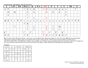#### CONSONANTS (PULMONIC AND GLOTTALIC)

|              | L               |   | L-D          |          | $I-D$    | D(A)         |               | R                 |                              |   | $P-A$          |                                 | $A-P$                     |                           | P             | $\mathbf{V}$                    |                  | $\mathbf{U}$   |             |         | $\overline{\mathbf{Ph}}$ |              | G            |
|--------------|-----------------|---|--------------|----------|----------|--------------|---------------|-------------------|------------------------------|---|----------------|---------------------------------|---------------------------|---------------------------|---------------|---------------------------------|------------------|----------------|-------------|---------|--------------------------|--------------|--------------|
| $\mathbf{p}$ | $\mathbf b$     |   |              |          |          | $\mathbf t$  | d             | t                 | $\mathbf{d}$                 |   |                | $\mathbf{t}$                    | $d_{\varphi}$             | $\mathbf{C}$              | $\mathbf{f}$  | $\bf k$                         | $\boldsymbol{g}$ | q              | G           |         |                          | $\mathbf{?}$ |              |
|              | m               |   | m            |          |          |              | $\mathbf n$   |                   | $\eta$                       |   |                |                                 | $n_{e}$                   |                           | $\mathfrak n$ |                                 | ŋ                |                | N           |         |                          |              |              |
|              | $\bf{B}$        |   |              |          |          |              | r             |                   |                              |   |                |                                 |                           |                           |               |                                 |                  |                | $\mathbf R$ |         |                          |              |              |
|              |                 |   |              |          |          |              | $\Gamma$      |                   | $\mathfrak{r}$               |   |                |                                 | $\mathfrak{r}$            |                           |               |                                 |                  |                |             |         |                          |              |              |
| $\Phi$       | $\beta$         | f | $\mathbf{V}$ | $\theta$ | $\delta$ | ${\bf S}$    | $\mathbf{Z}$  | $S_{\mathcal{S}}$ | $Z_{\!\scriptscriptstyle L}$ | J | $\overline{3}$ | $\mathcal{C}$                   | $\mathbf{Z}$              | ç                         | $\mathbf{j}$  | $\mathbf X$                     | $\mathbf{V}$     | $\chi$         | ${\bf R}$   | $\hbar$ | $\Omega$                 | $\hbar$      | $\mathbf{h}$ |
|              |                 |   |              |          |          | $\ddagger$   | $\mathfrak b$ |                   |                              |   |                |                                 |                           |                           |               |                                 |                  |                |             |         |                          |              |              |
|              |                 |   | $\upsilon$   |          |          |              | ${\bf J}$     |                   | $\mathbf{J}_{\mathbf{r}}$    |   |                |                                 | $\mathbf{J}_{\mathbf{z}}$ |                           | $\mathbf{j}$  |                                 | $\mathbf{u}$     |                |             |         |                          |              |              |
|              |                 |   |              |          |          |              | $\mathbf{I}$  |                   | -1<br>∪                      |   |                |                                 | $\downarrow$              |                           | $\Lambda$     |                                 | L                |                |             |         |                          |              |              |
| $p^{\prime}$ |                 |   |              |          |          | $t^{\prime}$ |               | $t^{\prime}$      |                              |   |                | $t^{\prime}$                    |                           | $\mathbf{c}^{\prime}$     |               | $k^{\prime}$                    |                  | q'             |             |         |                          |              |              |
| $\beta$      | $6\overline{6}$ |   |              |          |          | f            | $\mathbf{d}$  |                   |                              |   |                | $f_{\!\scriptscriptstyle\beta}$ | $\mathbf{d}$              | $\mathbf{C}^{\mathbf{c}}$ | $\int$        | $\boldsymbol{\hat{\mathrm{K}}}$ | $\int$           | $\mathfrak{q}$ | G           |         |                          |              |              |

Key: L=labio-/labial, D=dental, I=inter-, A=alveolo-/alveolar, R=retroflex, P=palato-/palatal, V=velar, U=uvular, Ph=Pharyngeal, G=glottal. Consonants arranged according to place of articulation (left-to-right = front-to-back), with inclusion of alveolo-palatal (A-P) place series. After WU Zongji (1992), with additional A-P place series symbols: [r] A-P flap or tap, [µ] A-P approximant, [L] A-P lateral, and [t d ] A-P implosives.<br>For a discussion this notation please see the most recent draft of the

#### **VOWELS**

| $\mathbf{i}$            | V |   |             | $\mathbf{i}$                                                                                                                                                                                                                                                                                                                                                                                                                   | $\mathbf{\mathbf{H}}$ |             | $\mathbf{u}$ | $\mathbf u$    |
|-------------------------|---|---|-------------|--------------------------------------------------------------------------------------------------------------------------------------------------------------------------------------------------------------------------------------------------------------------------------------------------------------------------------------------------------------------------------------------------------------------------------|-----------------------|-------------|--------------|----------------|
|                         |   | I | $\mathbf Y$ |                                                                                                                                                                                                                                                                                                                                                                                                                                |                       | $\mathbf U$ |              |                |
| ${\bf e}$               | Ø |   |             |                                                                                                                                                                                                                                                                                                                                                                                                                                |                       |             | $\infty$     | $\mathbf 0$    |
|                         |   |   |             | $\Theta$                                                                                                                                                                                                                                                                                                                                                                                                                       | $\Theta$              |             |              |                |
| $\boldsymbol{\epsilon}$ | œ |   |             |                                                                                                                                                                                                                                                                                                                                                                                                                                |                       |             | Λ            | $\mathfrak{O}$ |
| æ                       |   |   |             | $\mathbf{g}% _{T}=\mathbf{g}_{T}=\mathbf{g}_{T}=\mathbf{g}_{T}=\mathbf{g}_{T}=\mathbf{g}_{T}=\mathbf{g}_{T}=\mathbf{g}_{T}=\mathbf{g}_{T}=\mathbf{g}_{T}=\mathbf{g}_{T}=\mathbf{g}_{T}=\mathbf{g}_{T}=\mathbf{g}_{T}=\mathbf{g}_{T}=\mathbf{g}_{T}=\mathbf{g}_{T}=\mathbf{g}_{T}=\mathbf{g}_{T}=\mathbf{g}_{T}=\mathbf{g}_{T}=\mathbf{g}_{T}=\mathbf{g}_{T}=\mathbf{g}_{T}=\mathbf{g}_{T}=\mathbf{g}_{T}=\mathbf{g}_{T}=\math$ |                       |             |              |                |
| $\rm{a}$                | Œ |   |             |                                                                                                                                                                                                                                                                                                                                                                                                                                |                       |             | $\alpha$     | $\mathfrak{v}$ |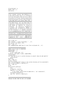```
#!/usr/bin/perl -w
BEGIN { $^{\wedge} W = 1 }
use strict;
```

```
# This program converts Mac STEDTFont 5.1 #
# text files to UTF-8. Run it in a directory #
# of files and convert each file.txt in that #
# directory to file.u8, silently overwriting #
# any pre-existing file.u8 in that directory #
# (you might want to be careful about that). #
# The STEDT Project and the author make no #
# expressed or implied warranty of any kind, #
# and assume no liability for errors or #
# omissions. No liability is assumed for #
# incidental and consequential damages in #
# connection with or arising out of the use #
# of the information or programs contained #
# in or accompanying this file. Caveat Utor! #
# Richard Cook rscook@socrates.berkeley.edu #
# Written with MacPerl 5.6.1r2 (2003-09-09) #
# Updated for Perl 5.8.1 (2004-09-17) #
```

```
warn "x"x64, "\n";
warn "Started: ", scalar localtime(), " ... \n";
warn sprintf "Perl %vd\n", $^V;
warn "-"x64,"\n";
warn "Remapping Mac STEDT Font 5.1 text files to Unicode 4.0 ... \n";
```

```
###GET LIST OF FILES TO CONVERT###
#opendir(DIR, ':')
opendir(DIR, '.')
    or die 'cannot open : $!';
my @files = sort grep /\.txt$/, readdir(DIR);
closedir(DIR);
die "Died: No file.txt in current directory to convert! (why not add some?)\n"
    unless @files;
my %files;
warn "-"x64,"\n";
my $tif = @files;
warn "The following $tif infiles in the current directory will be converted\n";
warn "to UTF-8 (INFILE => OUTFILE):\n";
warn "-"x64,"\n";
my $n;
for my $infile (@files){
    $n++;my $outfile = $infile;$outfile =\sim s/\.txt/.u8/
        or die "Died!: Infiles must be named with a `.txt' extension\n";
    $files{$infile}=$outfile;
    warn "$n: $infile => $outfile\n";
ł
```
###LOAD THE MAPS FROM THE DATA LIST BELOW###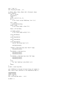```
warn "-"x64,"\n";
warn "Building the maps ... \n";
my (%char, %diac, %skip, %hash, %all, $linecount, $seq);
while (\langle \text{DATA} \rangle)next if /^#|^$/;
    $linecount++;
    chomp;
    my @t = split(\wedge t/,$_,-1);
    @t == 5or die "Died! corrupt STED2U-map, line: $.\n";
    $seq = $t[0]unless defined $seq;
    $t[0] == $seqor die "Died! t[0] == $seq ??\n";
    $t[1] = chr hex $t[1];chr $t[0] eq $t[1]
         or die "Died! $t[0] eq $t[1] ??\n";
    exists $all{$t[1]}
        or
    exists $hash{$t[1]}
         or
    exists $char{$t[1]}
        or
    exists $diac{$t[1]}
        and die "Non-unique keys! $_\n";
         $all{$t[1]}=$t[2];
    if($t[4] == \theta){# these base chars *don't* remap
         $skip{${${$t[1]}=$t[2];
    \mathcal{F}elsif($t[4] == 1){# diacritics
         $diag{{1}] =$t[2];\frac{1}{2} $hash{$t[1]}=$t[2];
    \mathbf{3}elsif($t[4] == 2){# these base chars *do* remap
         $char{ft[1]} = $t[2];\frac{1}{2} $hash{$t[1]}=$t[2];
    \mathbf{3}else{
         die "bad `Combining' value $t[4]: $_\n";
    ł
    $seq++;\mathbf{L}my $all = scalar keys %all;
warn "STEDTFont 5.1 Unicode 4.0 Scalar Values all loaded.\n";
warn "Total of $all characters in the comprehensive Map.\n";
##############
###MAP STATS###
warn "-"x64,"\n";
warn "Verifying map counts ... \n\n";
my %warn = (
```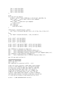```
 Char => scalar keys %char,
     Diac => scalar keys %diac,
     Skip => scalar keys %skip,
     Hash => scalar keys %hash,
);
my $z;
for my $w (sort keys %warn){
     my $warn = sprintf "Total of %03d Keys in the %s hash", $warn{$w}, $w;
     $warn = $warn . " (sum of above, these all get remapped)" 
         if $w eq "Hash";
     $warn = $warn . " (these don't get remapped)" 
         if $w eq "Skip";
     warn "$warn.\n";
    $z += $wan{ unless $w eq "Hash";
}
if($linecount == $z && $linecount == $all}
    warn "Total of $linecount Map DATA lines is all of Char, Diac, & Skip.\n\n";
}
else{
     die "ebod?! linecount=>$linecount, z=>$z, all=>$all\n";
}
my $c = join("", sort keys %char);
my $d = join("", sort keys %diac);
my $s = join("", sort keys %skip);
my $h = join("", sort keys %hash);
my $cx = join("", map {sprintf "0x%X ", ord $_} sort keys %char);
my $dx = join("", map {sprintf "0x%X ", ord $_} sort keys %diac);
my $hx = join("", map {sprintf "0x%X ", ord $_} sort keys %hash);
warn "STEDTFont 5.1 characters to remap: \n\n";
warn " Total of $warn{Char} base characters:\n[$cx].\n\n";
warn "    Total of $warn{Diac} prestruck diacritics:\n[$dx].\n\n";<br>warn "    Total of $warn{Hash} characters (base+diacritic) aet rem
          Total of $warn{Hash} characters (base+diacritic) get remapped:\n[$hx].\n\n";
warn "STEDTFont 5.1 base characters unchanged:\n\n";
warn " Total of $warn{Skip} chars in STEDTFont skipclass:\n[$s].\n\n";
warn "All map counts verified.\n";
#########################
###MAKE THE CONVERSION###
warn "-"x64,"\n";
warn "Beginning file conversion to UTF-8 ... \n\n";
# Some 7-bit control characters < 0x20 <SPACE> should probably
# not be in a Mac STEDTFont text file, and might be stripped 
# if they occur, except for 0x09 <TAB>, 0x0A <LF>, 0x0D <CR>.
# Some applications might export other 7-bit controls in 
# plain text to preserve certain info, e.g. FileMaker uses 
# 0x0B <VT> for line breaks within a cell. Also, (the one
# control > 0x20 <SPACE>) 0x7F <DELETE> is unused in STEDTFont.
# We leave these controls in the data if they occur, but warn you
# in case they are evidence of some problem with the infile.
my $ctrl = '[\x00-\x08\x0B\x0C\x0E-\x1F\x7F]';
```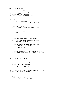```
for my $f (sort keys %files){
        open IF, "< $f" 
              or die "cannot open `$f': $!";
       warn "Reading text file `$f' ... \n";
        open OF, "> $files{$f}" 
               or die "cannot create `$files{$f}': $!";
       warn "Writing text file `$files{$f}' ... \n";
        my %frq; my $warned=0;
        while (<IF>){
              if (\sqrt{\frac{2}{1}} \cdot \frac{1}{8} \cdot \frac{1}{1})warn "Check for improper controls in file `$f':\n $_";
                      $warned++;
               }
               # mark controls (see above)
               #$_ =~ s/($ctrl)/"{".sprintf("%0#4X",ord $1)."}"/ego;
              for my $c (split(\angle/,$_)){
                     next if c = \sqrt{3}|\tilde{\tau}| $frq{$c}++;
               }
              #my @t = split(\wedget/,$_,-1);
               # if your infile is tab-separated with mixed encodings
               # then you'll want to specify the field to convert ...
               # interpose a space between diac and line-end or tab
              \ = - \ s/(\lceil\Qsd\E\rceil)(\t1) / 1 \ 2/go; # then, any post-diac non-diac is base; reorder them
              \ = - \ s/(\lceil\Q\ d\rceil + \lceil\Q\ d\rceil + \lceil\Q\ d\rceil + \lceil\Q\ d\rceil + \lceil\Q\ d\rceil + \lceil\Q\ d\rceil + \lceil\Q\ d\rceil + \lceil\Q\ d\rceil + \lceil\Q\ d\rceil + \lceil\Q\ d\rceil + \lceil\Q\ d\rceil + \lceil\Q\ d\rceil + \lceil\Q\ d\rceil + \lceil\Q\ d\rceil + \lceil\Q\ d\rceil + \lceil\Q\ d\rceil + \lceil\Q\ d\rceil + \lceil\Q\ d\rceil + \lceil\Q\ d\rceil + \lceil\Q\ d\rceil + \lceil\Q\ d\rceil + \lceil\ # remap to USV('s) to UTF-8
              $ = \sim s/([Q$h\E])/u](\$hash{$1}])/ego; # note that 0x84 and 0x96 both have 1-to-2 mappings which
              # could be handled with 0x84 => U+0221, 0x96 => U+0236 instead ...
               print OF;
        }
       warn "line count for `$f': $. .\n";
        close IF 
               or die "trouble closing `$f': $!";
        close OF 
               or die "trouble closing `$files{$f}': $!";
        warn "Finished converting `$f'.\n\n";
        my $types = scalar keys %frq;
       warn "Frequencies for $types character types occurring in `$f':\n";
       for my f(\text{sort } \{ \frac{\text{if } \text{f} \cdot \text{f} \cdot \text{f} \cdot \text{f} \cdot \text{f} \cdot \text{f} \cdot \text{f} \cdot \text{f} \cdot \text{f} \cdot \text{f} \cdot \text{f} \cdot \text{f} \cdot \text{f} \cdot \text{f} \cdot \text{f} \cdot \text{f} \cdot \text{f} \cdot \text{f} \cdot \text{f} \cdot \text{f} \cdot \text{f} \cdot \text{f} \cdot \text{f} \cdot \text{f} \cdot \text{f} \cdot \text{f} \cdot \text{f} \cdot \text{f} \cdot \textor and the contract of the contract of the contract of the contract of the contract of the contract of the contract of the contract of the contract of the contract of the contract of the contract of the contract of the c
                                                 $a cmp $b} keys %frq){
                            next if $f \rightarrow \sqrt{3}/;my sg = sf;$g = "" if $g = \sqrt{5} \text{ctr1/o};sg = $all{sf} if exists $all{sf};
```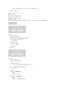```
printf "%#X\t% 6d\t=> %s\n", ord $f, $frq{$f}, $g;
   \mathcal{L}warn "-"x64,"\n";
}
my pl = 1 ? " " : "s";my $ar = "no";
\sqrt{2} sar = "the" if \sqrt{2}tif > 0;
\text{Sar} = \text{"all" if } \text{Stif} > 2;my $time = time() - $AT;my ssex = stime == 1 ? "" : "s";
warn "Finished converting $ar $tif file$pl in a total of $time second$sex.\n";
################
###SUBROUTINES###
############## SUB UL #############
###### sends SUB U8 a list ######
####### of bracketed USV's ######
sub ul \{my x = shift @;
   my h = '[0-9A-Fa-f]';
   my (@l) = $x =~ /(\[U\+$h{1,6}\])/g;
   die "Yikes? no \@l ???\n"
       unless @l;my $u = "":
   for my I(\mathcal{C}1)\$u := u8($1);}
   return $u;
\} # sub ul
########## SUB U8 bit ops #########
###################################
##### accepts both bracketed #####
##### and unbracketed USV #####
###################################
sub u8 \{my x = shift @_{i};my $h = '[0-9A-Fa-f]';
   #return $x unless
   # ($x \implies s/\land\ [U\land+(\$h{1,6})\land]\$/\$1/ == 1);x = S/N[U\+($h{1,6})\]$/$1/;
   x = \text{hex}(x);my $u8;
   if($x \le 0x0000007F)$u8=pack ("C", $x);
   }
   elsif($x <= 0x000007FF){
       s<sub>u8</sub>pack ("C", 0xC01(($x>>6))).
```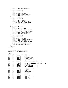```
 pack ("C", 0x80|($x&((1<<6)-1)));
     }
     elsif($x <= 0x0000FFFF){
        $u8= pack ("C", 0xE0|(($x>>12))) .
         pack ("C", 0x80|(($x>>6)&((1<<6)-1))) .
         pack ("C", 0x80|($x&((1<<6)-1)));
     }
     elsif($x <= 0x001FFFFF){
         $u8=
         pack ("C", 0xF0|(($x>>18))) .
 pack ("C", 0x80|(($x>>12)&((1<<6)-1))) .
 pack ("C", 0x80|(($x>>6)&((1<<6)-1))) .
         pack ("C", 0x80|($x&((1<<6)-1)));
     }
    elsif($x \le 0 \times 03FFFFFFF){
        $u8= pack ("C", 0xF8|(($x>>24))) .
         pack ("C", 0x80|(($x>>18)&((1<<6)-1))) .
         pack ("C", 0x80|(($x>>12)&((1<<6)-1))) .
         pack ("C", 0x80|(($x>>6)&((1<<6)-1))) .
         pack ("C", 0x80|($x&((1<<6)-1)));
     }
     elsif($x <= 0x7FFFFFFF){
        $u8= pack ("C", 0xFC|(($x>>30))) .
         pack ("C", 0x80|(($x>>24)&((1<<6)-1))) .
         pack ("C", 0x80|(($x>>18)&((1<<6)-1))) .
         pack ("C", 0x80|(($x>>12)&((1<<6)-1))) .
         pack ("C", 0x80|(($x>>6)&((1<<6)-1))) .
         pack ("C", 0x80|($x&((1<<6)-1)));
     }
     return $u8;
}# sub u8
```
#### ##################################### #MAPPING DATA STEDTFONT5 <=> UNICODE4

| DATA |            |                            |                                         |
|------|------------|----------------------------|-----------------------------------------|
| #DEC | <b>HEX</b> | <b>UNAME</b><br><b>USV</b> | <b>COMB</b>                             |
| 032  | 20         | <b>FU+00207</b>            | SPACE<br>0                              |
| 033  | 21         | <b>FU+00217</b>            | <b>EXCLAMATION MARK</b><br>0            |
| 034  | 22         | <b>FU+00221</b>            | <b>OUOTATION MARK</b><br>0              |
| 035  | 23         | <b>FU+00231</b>            | NUMBER SIGN<br>0                        |
| 036  | 24         | $[U+1D4A]$                 | MODIFIER LETTER SMALL SCHWA<br>2        |
| 037  | 25         | <b>FU+02791</b>            | LATIN SMALL LETTER TURNED R<br>2        |
| 038  | 26         | $[U+2AA4]$                 | GREATER-THAN OVERLAPPING LESS-THAN<br>2 |
| 039  | 27         | <b>[U+0027]</b>            | <b>APOSTROPHE</b><br>0                  |
| 040  | 28         | FU+00281                   | <b>LEFT PARENTHESIS</b><br>0            |
| 041  | 29         | TU+00291                   | RIGHT PARENTHESIS<br>0                  |
| 042  | 2A         | <b>[U+002A]</b>            | <b>ASTERISK</b><br>0                    |
| 043  | 2B         | <b>[U+002B]</b>            | PLUS SIGN<br>0                          |
| 044  | 2C         | <b>[U+002C]</b>            | <b>COMMA</b><br>0                       |
| 045  | 2D         | <b>[U+002D]</b>            | <b>HYPHEN-MINUS</b><br>0                |
| 046  | 2E         | <b>[U+002E]</b>            | FULL STOP<br>0                          |
| 047  | 2F         | <b>[U+002F]</b>            | SOLIDUS 0                               |
| 048  | 30         | <b>FU+00301</b>            | DIGIT ZERO<br>0                         |
| 049  | 31         | <b>[U+0031]</b>            | DIGIT ONE<br>0                          |
| 050  | 32         | <b>FU+00321</b>            | 0<br>DIGIT TWO                          |
| 051  | 33         | FU+00331                   | 0<br>DIGIT THREE                        |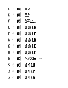| 052 | 34        | $[U+0034]$      | DIGIT FOUR<br>0                    |
|-----|-----------|-----------------|------------------------------------|
| 053 | 35        | $[U+0035]$      | DIGIT FIVE<br>0                    |
| 054 | 36        | [U+0036]        | DIGIT SIX<br>0                     |
| 055 | 37        | <b>[U+0037]</b> | DIGIT SEVEN<br>0                   |
| 056 | 38        | $[U+0038]$      | DIGIT EIGHT<br>0                   |
| 057 | 39        | FU+00391        | DIGIT NINE<br>0                    |
| 058 | 3A        | <b>[U+003A]</b> | COLON<br>0                         |
| 059 | 3B        | [U+003B]        | SEMICOLON<br>0                     |
|     |           |                 |                                    |
| 060 | 3C        | <b>[U+003C]</b> | LESS-THAN SIGN<br>0                |
| 061 | 3D        | [U+003D]        | 0<br>EQUALS SIGN                   |
| 062 | 3E        | [U+003E]        | GREATER-THAN SIGN<br>0             |
| 063 | 3F        | [U+003F]        | <b>QUESTION MARK</b><br>0          |
| 064 | 40        | $[U+032A]$      | COMBINING BRIDGE BELOW<br>1        |
| 065 | 41        | <b>[U+0041]</b> | LATIN CAPITAL LETTER A<br>0        |
| 066 | 42        | <b>[U+0042]</b> | LATIN CAPITAL LETTER B<br>0        |
| 067 | 43        | <b>[U+0043]</b> | LATIN CAPITAL LETTER C<br>0        |
| 068 | 44        | [U+0044]        | LATIN CAPITAL LETTER D<br>0        |
| 069 | 45        | <b>[U+0045]</b> | LATIN CAPITAL LETTER E<br>0        |
| 070 | 46        | <b>[U+0046]</b> | LATIN CAPITAL LETTER F<br>0        |
|     |           |                 | LATIN CAPITAL LETTER G<br>0        |
| 071 | 47        | <b>[U+0047]</b> |                                    |
| 072 | 48        | <b>[U+0048]</b> | LATIN CAPITAL LETTER H<br>0        |
| 073 | 49        | <b>[U+0049]</b> | LATIN CAPITAL LETTER I<br>0        |
| 074 | 4Α        | [U+004A]        | LATIN CAPITAL LETTER J<br>0        |
| 075 | 4B        | [U+004B]        | LATIN CAPITAL LETTER K<br>0        |
| 076 | 4C        | [U+004C]        | LATIN CAPITAL LETTER L<br>0        |
| 077 | 4D        | [U+004D]        | LATIN CAPITAL LETTER M<br>0        |
| 078 | 4E        | <b>[U+004E]</b> | LATIN CAPITAL LETTER N<br>0        |
| 079 | 4F        | [U+004F]        | LATIN CAPITAL LETTER O<br>0        |
| 080 | 50        | [U+0050]        | LATIN CAPITAL LETTER P<br>0        |
| 081 | 51        | <b>[U+0051]</b> | LATIN CAPITAL LETTER O<br>0        |
| 082 | 52        | <b>[U+0052]</b> | LATIN CAPITAL LETTER R<br>0        |
|     |           |                 |                                    |
| 083 | 53        | <b>[U+0053]</b> | LATIN CAPITAL LETTER S<br>0        |
| 084 | 54        | <b>[U+0054]</b> | LATIN CAPITAL LETTER T<br>0        |
| 085 | 55        | $[U+0055]$      | LATIN CAPITAL LETTER U<br>0        |
| 086 | 56        | TU+00567        | LATIN CAPITAL LETTER V<br>0        |
| 087 | 57        | <b>[U+0057]</b> | LATIN CAPITAL LETTER W<br>0        |
| 088 | 58        | <b>[U+0058]</b> | LATIN CAPITAL LETTER X<br>0        |
| 089 | 59        | TU+00597        | LATIN CAPITAL LETTER Y<br>0        |
| 090 | 5Α        | $[U+005A]$      | LATIN CAPITAL LETTER Z<br>0        |
| 091 | 5В        | [U+005B]        | LEFT SQUARE BRACKET<br>0           |
| 092 | 5C        | [U+0300]        | COMBINING GRAVE ACCENT<br>1        |
| 093 | <b>5D</b> | <b>FU+005D7</b> | RIGHT SQUARE BRACKET<br>0          |
| 094 | 5E        | $[U+027E]$      | LATIN SMALL LETTER R WITH FISHHOOK |
| 095 | 5F        | $[U+0331]$      | COMBINING MACRON BELOW<br>1        |
| 096 | 60        | $[U+00D0]$      | LATIN CAPITAL LETTER ETH<br>2      |
|     |           |                 |                                    |
| 097 | 61        | $[U+0061]$      | LATIN SMALL LETTER A<br>0          |
| 098 | 62        | $[U+0062]$      | LATIN SMALL LETTER B<br>0          |
| 099 | 63        | $[U+0063]$      | LATIN SMALL LETTER C<br>0          |
| 100 | 64        | $[U+0064]$      | LATIN SMALL LETTER D<br>0          |
| 101 | 65        | <b>[U+0065]</b> | LATIN SMALL LETTER E<br>0          |
| 102 | 66        | FU+00667        | LATIN SMALL LETTER F<br>0          |
| 103 | 67        | $[U+0067]$      | LATIN SMALL LETTER G<br>0          |
| 104 | 68        | $[U+0068]$      | LATIN SMALL LETTER H<br>0          |
| 105 | 69        | $[U+0069]$      | LATIN SMALL LETTER I<br>0          |
| 106 | 6A        | $[U+006A]$      | LATIN SMALL LETTER J<br>0          |
| 107 | 6B        | $[U+006B]$      | LATIN SMALL LETTER K<br>0          |
| 108 | 6C        | [U+006C]        | LATIN SMALL LETTER L<br>0          |
| 109 | 6D        | $[U+006D]$      | LATIN SMALL LETTER M<br>0          |
|     |           |                 |                                    |
| 110 | 6E        | [U+006E]        | LATIN SMALL LETTER N<br>0          |
| 111 | 6F        | $[U+006F]$      | LATIN SMALL LETTER O<br>0          |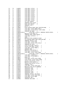| 112 | 70             | $[U+0070]$                                          | LATIN SMALL LETTER P<br>0                                                  |   |
|-----|----------------|-----------------------------------------------------|----------------------------------------------------------------------------|---|
| 113 | 71             | $[U+0071]$                                          | LATIN SMALL LETTER Q<br>0                                                  |   |
| 114 | 72             | $[U+0072]$                                          | LATIN SMALL LETTER R<br>0                                                  |   |
| 115 | 73             | [U+0073]                                            | LATIN SMALL LETTER S<br>0                                                  |   |
| 116 | 74             | [U+0074]                                            | LATIN SMALL LETTER T<br>0                                                  |   |
| 117 | 75             | $[U+0075]$                                          | LATIN SMALL LETTER U<br>0                                                  |   |
| 118 | 76             | [U+0076]                                            | LATIN SMALL LETTER V<br>0                                                  |   |
| 119 | 77             | [U+0077]                                            | LATIN SMALL LETTER W<br>0                                                  |   |
| 120 | 78             | [U+0078]                                            | LATIN SMALL LETTER X<br>0                                                  |   |
| 121 | 79             | [U+0079]                                            | LATIN SMALL LETTER Y<br>0                                                  |   |
| 122 | 7A             | [U+007A]                                            | LATIN SMALL LETTER Z                                                       |   |
|     |                |                                                     | 0<br>LEFT CURLY BRACKET                                                    |   |
| 123 | 7B             | $[U+007B]$                                          | 0                                                                          |   |
| 124 | 7C             | $[U+0301]$                                          | COMBINING ACUTE ACCENT<br>1                                                |   |
| 125 | 7D             | [U+007D]                                            | RIGHT CURLY BRACKET<br>0                                                   |   |
| 126 | 7E             | $[U+0303]$                                          | COMBINING TILDE 1                                                          |   |
| 127 | 7F             | [U+007F]                                            | DELETE 0                                                                   |   |
| 128 | 80             | [U+00BB]                                            | RIGHT-POINTING DOUBLE ANGLE QUOTATION MARK<br>2                            |   |
| 129 | 81             | $[U+0252]$                                          | LATIN SMALL LETTER TURNED ALPHA 2                                          |   |
| 130 | 82             | $[U+025F]$                                          | $\overline{c}$<br>LATIN SMALL LETTER DOTLESS J WITH STROKE                 |   |
| 131 | 83             | [U+0307]                                            | COMBINING DOT ABOVE<br>1                                                   |   |
| 132 | 84             | [U+0064] [U+0311]                                   | <latin breve="" combining="" d,="" inverted="" letter="" small=""></latin> | 2 |
| 133 | 85             | $[U+02B7]$                                          | MODIFIER LETTER SMALL W 2                                                  |   |
| 134 | 86             | $[U+0335]$                                          | COMBINING SHORT STROKE OVERLAY 1                                           |   |
| 135 | 87             | <b>[U+00E6]</b>                                     | 2<br>LATIN SMALL LETTER AE                                                 |   |
| 136 | 88             | $\begin{bmatrix} 0+02C7 \end{bmatrix}$              | CARON<br>2                                                                 |   |
| 137 | 89             | $\lceil U + 02C6 \rceil$                            | MODIFIER LETTER CIRCUMFLEX ACCENT<br>2                                     |   |
| 138 | 8Α             | <b>TU+00AB1</b>                                     | LEFT-POINTING DOUBLE ANGLE QUOTATION MARK<br>2                             |   |
| 139 | 8Β             | $[U+033E]$                                          | COMBINING VERTICAL TILDE<br>1                                              |   |
| 140 | 8C             | $[U+0251]$                                          | 2<br>LATIN SMALL LETTER ALPHA                                              |   |
| 141 | 8D             | $[U+00E7]$                                          | LATIN SMALL LETTER C WITH CEDILLA<br>2                                     |   |
| 142 | 8E             |                                                     | COMBINING DOT BELOW<br>1                                                   |   |
| 143 | 8F             | $[U+0323]$                                          | LATIN LETTER SMALL CAPITAL E                                               |   |
|     |                | $\begin{bmatrix} U + 1D & 0 \\ 0 & 0 \end{bmatrix}$ | 2                                                                          |   |
| 144 | 90             | $\begin{bmatrix} U + 24D2 \end{bmatrix}$            | $\mathbf{2}$<br>CIRCLED LATIN SMALL LETTER C                               |   |
| 145 | 91             | [U+0250]                                            | LATIN SMALL LETTER TURNED A<br>2                                           |   |
| 146 | 92             | $[U+031B]$                                          | COMBINING HORN 1                                                           |   |
| 147 | 93             | $[U+1D2E]$                                          | MODIFIER LETTER CAPITAL B<br>2                                             |   |
| 148 | 94             | $[U+0131]$                                          | LATIN SMALL LETTER DOTLESS I<br>$\overline{c}$                             |   |
| 149 | 95             | [U+0268]                                            | LATIN SMALL LETTER I WITH STROKE<br>2                                      |   |
| 150 | 96             | [U+0074] [U+0311]                                   | <latin breve="" combining="" inverted="" letter="" small="" t,=""></latin> | 2 |
| 151 | 97             | $[U+0153]$                                          | LATIN SMALL LIGATURE OE 2                                                  |   |
| 152 | 98             | $[U+0275]$                                          | LATIN SMALL LETTER BARRED O<br>2                                           |   |
| 153 | 99             | [U+00B7]                                            | $\overline{c}$<br>MIDDLE DOT                                               |   |
| 154 | 9Α             | $[U+00F8]$                                          | LATIN SMALL LETTER O WITH STROKE<br>2                                      |   |
| 155 | 9B             | [U+00D8]                                            | 2<br>LATIN CAPITAL LETTER O WITH STROKE                                    |   |
| 156 | 9C             | <b>TU+24B81</b>                                     | CIRCLED LATIN CAPITAL LETTER C<br>2                                        |   |
| 157 | 9D             | $[U+1D2C]$                                          | MODIFIER LETTER CAPITAL A<br>2                                             |   |
| 158 | 9Ε             | $\begin{bmatrix} U + 24C8 \end{bmatrix}$            | CIRCLED LATIN CAPITAL LETTER S<br>2                                        |   |
| 159 | 9F             | $[U+0303]$                                          | COMBINING TILDE 1                                                          |   |
| 160 | А0             | $[U+0236]$                                          | LATIN SMALL LETTER T WITH CURL<br>- 2                                      |   |
| 161 | A1             | $[U+02F0]$                                          | MODIFIER LETTER LOW UP ARROWHEAD<br>2                                      |   |
| 162 | A2             | $[U+2074]$                                          | SUPERSCRIPT FOUR<br>2                                                      |   |
| 163 | A3             | $[U+00B3]$                                          | 2<br>SUPERSCRIPT THREE                                                     |   |
|     |                | $[U+2076]$                                          |                                                                            |   |
| 164 | A4             |                                                     | SUPERSCRIPT SIX 2                                                          |   |
| 165 | A5             | $[U+2078]$                                          | SUPERSCRIPT EIGHT<br>2                                                     |   |
| 166 | A6             | $[U+2077]$                                          | $\overline{c}$<br>SUPERSCRIPT SEVEN                                        |   |
| 167 | А7             | $[U+0329]$                                          | COMBINING VERTICAL LINE BELOW<br>1                                         |   |
| 168 | A8             | $[U+0282]$                                          | LATIN SMALL LETTER S WITH HOOK<br>2                                        |   |
| 169 | A <sub>9</sub> | $[U+0263]$                                          | LATIN SMALL LETTER GAMMA<br>2                                              |   |
| 170 | ΑА             | $[U+00B2]$                                          | SUPERSCRIPT TWO 2                                                          |   |
| 171 | AB             | $[U+0309]$                                          | COMBINING HOOK ABOVE<br>1                                                  |   |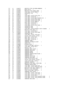| 172 | AC             | $[U+02EF]$                                 | MODIFIER LETTER LOW DOWN ARROWHEAD<br>2          |                |
|-----|----------------|--------------------------------------------|--------------------------------------------------|----------------|
| 173 | AD             | $[U+25E6]$                                 | 2<br>WHITE BULLET                                |                |
| 174 | AE             | $[U+02BB]$                                 | MODIFIER LETTER TURNED COMMA<br>2                |                |
| 175 | AF             | $[U+028C]$                                 | LATIN SMALL LETTER TURNED V<br>2                 |                |
| 176 | B0             | $[U+2075]$                                 | SUPERSCRIPT FIVE<br>2                            |                |
| 177 | B1             | [U+007E]                                   | $\overline{c}$<br><b>TILDE</b>                   |                |
| 178 | B <sub>2</sub> | $[U+0235]$                                 | LATIN SMALL LETTER N WITH CURL<br>2              |                |
| 179 |                | $[U+014B]$                                 | LATIN SMALL LETTER ENG<br>2                      |                |
|     | B3             |                                            |                                                  |                |
| 180 | В4             | $[U+0285]$                                 | LATIN SMALL LETTER SQUAT REVERSED ESH<br>2       |                |
| 181 | B5             | $[U+0271]$                                 | LATIN SMALL LETTER M WITH HOOK<br>2              |                |
| 182 | B6             | $[U+0221]$                                 | LATIN SMALL LETTER D WITH CURL<br>2              |                |
| 183 | B7             | $[U+026F]$                                 | $\overline{c}$<br>LATIN SMALL LETTER TURNED M    |                |
| 184 | B8             | $[U+03B2]$                                 | GREEK SMALL LETTER BETA 2                        |                |
| 185 | B9             | $[U+0278]$                                 | LATIN SMALL LETTER PHI 2                         |                |
| 186 | BA             | $[U+0253]$                                 | LATIN SMALL LETTER B WITH HOOK 2                 |                |
| 187 | BB             | $[U+2079]$                                 | 2<br>SUPERSCRIPT NINE                            |                |
| 188 | BС             | $[U+2070]$                                 | $\overline{c}$<br>SUPERSCRIPT ZERO               |                |
| 189 | ВD             | $[U+027F]$                                 | LATIN SMALL LETTER REVERSED R WITH FISHHOOK      | 2              |
| 190 | BE             | $[U+02B0]$                                 | MODIFIER LETTER SMALL H 2                        |                |
| 191 | ΒF             | $[U+0254]$                                 | LATIN SMALL LETTER OPEN O<br>2                   |                |
| 192 | C0             | $[U+0266]$                                 | LATIN SMALL LETTER H WITH HOOK<br>2              |                |
| 193 | C1             | [U+00B9]                                   | SUPERSCRIPT ONE 2                                |                |
| 194 | C <sub>2</sub> | $[U+026C]$                                 | LATIN SMALL LETTER L WITH BELT<br>2              |                |
|     |                | $\lceil U + 24C1 \rceil$                   | CIRCLED LATIN CAPITAL LETTER L<br>2              |                |
| 195 | C3             |                                            |                                                  |                |
| 196 | C4             | <b>L0+03B81</b>                            | $\overline{c}$<br>GREEK SMALL LETTER THETA       |                |
| 197 | C5             | $\begin{bmatrix} U + 03 C 7 \end{bmatrix}$ | GREEK SMALL LETTER CHI<br>2                      |                |
| 198 | C <sub>6</sub> | $[U+0283]$                                 | LATIN SMALL LETTER ESH<br>2                      |                |
| 199 | C7             | [U+030C]                                   | COMBINING CARON 1                                |                |
| 200 | C8             | [U+0302]                                   | COMBINING CIRCUMFLEX ACCENT<br>1                 |                |
| 201 | C9             | $[U+221A]$                                 | $\mathsf{2}$<br>SQUARE ROOT                      |                |
| 202 | CA             | $[U+00A0]$                                 | NO-BREAK SPACE<br>2                              |                |
| 203 | CB             | $[U+1D00]$                                 | 2<br>LATIN LETTER SMALL CAPITAL A                |                |
| 204 | CC             | $[U+026E]$                                 | LATIN SMALL LETTER LEZH 2                        |                |
| 205 | CD             | [U+007C]                                   | 2<br>VERTICAL LINE                               |                |
| 206 | CE             | [U+0300]                                   | COMBINING GRAVE ACCENT<br>1                      |                |
| 207 | CF             | [U+0309]                                   | COMBINING HOOK ABOVE<br>1                        |                |
| 208 | DØ             | $[U+0328]$                                 | COMBINING OGONEK<br>1                            |                |
| 209 | D1             | $[U+0304]$                                 | COMBINING MACRON<br>1                            |                |
| 210 | D <sub>2</sub> | $[U+032F]$                                 | COMBINING INVERTED BREVE BELOW<br>1              |                |
| 211 | D <sub>3</sub> | [U+0306]                                   | COMBINING BREVE 1                                |                |
|     |                |                                            |                                                  |                |
| 212 | D4             | $[U+0325]$                                 | COMBINING RING BELOW<br>1                        |                |
| 213 | D5             | <b>[U+030A]</b>                            | COMBINING RING ABOVE<br>1                        |                |
| 214 | D6             | $[U+0294]$                                 | LATIN LETTER GLOTTAL STOP<br>2                   |                |
| 215 | D7             | $[U+24CB]$                                 | CIRCLED LATIN CAPITAL LETTER V<br>2              |                |
| 216 | D8             | $[U+028F]$                                 | LATIN LETTER SMALL CAPITAL Y<br>2                |                |
| 217 | D9             | $[U+0308]$                                 | COMBINING DIAERESIS<br>1                         |                |
| 218 | DA             | $[U+02B1]$                                 | MODIFIER LETTER SMALL H WITH HOOK<br>2           |                |
| 219 | DB             | $[U+0346]$                                 | COMBINING BRIDGE ABOVE<br>1                      |                |
| 220 | DC             | $[U+027D]$                                 | LATIN SMALL LETTER R WITH TAIL<br>2              |                |
| 221 | DD             | $[U+025A]$                                 | LATIN SMALL LETTER SCHWA WITH HOOK<br>2          |                |
| 222 | DE             | [U+02B4]                                   | MODIFIER LETTER SMALL TURNED R<br>2              |                |
| 223 | DF             | $[U+02BC]$                                 | MODIFIER LETTER APOSTROPHE<br>2                  |                |
| 224 | E0             | $[U+0280]$                                 | 2<br>LATIN LETTER SMALL CAPITAL R                |                |
| 225 | E1             | $[U+0301]$                                 | COMBINING ACUTE ACCENT<br>1                      |                |
| 226 | E <sub>2</sub> | $[U+0234]$                                 | LATIN SMALL LETTER L WITH CURL<br>2              |                |
|     |                |                                            | 2                                                |                |
| 227 | E3             | [U+028B]                                   | LATIN SMALL LETTER V WITH HOOK<br>$\overline{c}$ |                |
| 228 | E4             | $[U+025B]$                                 | LATIN SMALL LETTER OPEN E                        |                |
| 229 | E5             | [U+0290]                                   | LATIN SMALL LETTER Z WITH RETROFLEX HOOK         | $\overline{c}$ |
| 230 | E6             | $[U+0288]$                                 | LATIN SMALL LETTER T WITH RETROFLEX HOOK         | 2              |
| 231 | E7             | [U+0309]                                   | COMBINING HOOK ABOVE<br>1                        |                |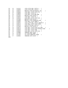| 232  | E8  | [U+1D1C]                 | LATIN LETTER SMALL CAPITAL U<br>2                               |
|------|-----|--------------------------|-----------------------------------------------------------------|
| 233  | E9  | [U+026A]                 | LATIN LETTER SMALL CAPITAL I<br>$\overline{\phantom{0}}$        |
| 234  | EA  | [U+02CC]                 | MODIFIER LETTER LOW VERTICAL LINE<br>2                          |
| 235  | EB  | ГU+02561                 | LATIN SMALL LETTER D WITH TAIL 2                                |
| 236  | EC  | [U+00F0]                 | LATIN SMALL LETTER ETH 2                                        |
| 237  | ED  | ГU+0264]                 | LATIN SMALL LETTER RAMS HORN<br>$\overline{\phantom{0}}$        |
| 238  | EE. | <b>L-1D347</b>           | MODIFIER LETTER CAPITAL H<br>$\overline{\phantom{0}}$           |
| 239  | EF  | [U+0292]                 | LATIN SMALL LETTER EZH 2                                        |
| 240  | F0  | [U+0291]                 | LATIN SMALL LETTER Z WITH CURL<br>$\mathcal{L}$                 |
| 241  | F1  | $\lceil U + 1D38 \rceil$ | MODIFIER LETTER CAPITAL L<br>$\overline{\phantom{a}}$           |
| 242  | F2  | $[U+02D0]$               | MODIFIER LETTER TRIANGULAR COLON<br>2                           |
| 243  | F3  | $[U+0265]$               | LATIN SMALL LETTER TURNED H<br>2                                |
| 244  | F4  | [U+0281]                 | LATIN LETTER SMALL CAPITAL INVERTED R<br>2                      |
| 245  | F5  | <b>LU+01111</b>          | LATIN SMALL LETTER D WITH STROKE<br>$\overline{\phantom{a}}$    |
| 246  | F6  | [U+0274]                 | LATIN LETTER SMALL CAPITAL N<br>$\overline{\phantom{a}}$        |
| 247  | F7  | $[U+1D39]$               | MODIFIER LETTER CAPITAL M<br>$\mathcal{L}$                      |
| 248  | F8  | <b>LO+02721</b>          | LATIN SMALL LETTER N WITH LEFT HOOK<br>$\overline{\phantom{0}}$ |
| 249  | F9  | <b>L0+02731</b>          | LATIN SMALL LETTER N WITH RETROFLEX HOOK                        |
| 250  | FA  | [U+0259]                 | LATIN SMALL LETTER SCHWA<br>$\overline{\phantom{0}}$            |
| 251  | FB  | <b>LU+02551</b>          | LATIN SMALL LETTER C WITH CURL 2                                |
| 252  | FC  | [U+0300]                 | COMBINING GRAVE ACCENT 1                                        |
| 253  | FD  | $\lceil U + 21AD \rceil$ | LEFT RIGHT WAVE ARROW<br>$\mathcal{L}$                          |
| 254  | FE  | $[U+21AE]$               | LEFT RIGHT ARROW WITH STROKE<br>$\overline{\phantom{0}}$        |
| 255  | FF. | FU+03017                 | COMBINING ACUTE ACCENT 1                                        |
| #END |     |                          |                                                                 |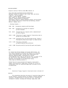#### ### BEGIN ABSTRACT

Linguistic Society of America (LSA) 2005, Oakland, CA

 http://www.lsadc.org/annmeet/sessions.html#sunmorn Workshop: Unicode for Linguists: How To Type, Send, and Archive Linguistic Texts by Computer Sunday, 9 January 9:00 AM - 12:00 PM Room: Simmons 3/4, Oakland Convention Center. Organizer: Deborah Anderson (UC-Berkeley) Participants: Charles A. Bigelow (Bigelow & Holmes), William Bright, Peter Constable (Microsoft), Richard Cook (UC-Berkeley), Kenneth Whistler (Sybase, Inc.)

--- Workshop Schedule ---

| $9:00 - 9:05$  | Introductory remarks by William Bright                                                                                       |
|----------------|------------------------------------------------------------------------------------------------------------------------------|
| $9:05 - 9:50$  | "Introduction to Unicode for Linguists"<br>by Peter Constable                                                                |
| $9:55 - 10:25$ | "Unicode Fonts for Linguists (with a demonstration)"<br>by Charles Bigelow                                                   |
|                | 10:30 - 11:00 "Conversion of Legacy Linguistic Transcription data to<br>Unicode 4.0" by Richard Cook                         |
|                | 11:05 - 11:20 "Developing Tools with IPA-encoded Unicode: Towards a<br>Phonologically-Based Search Engine" by Edward Garrett |
|                | 11:25 - 11:40 "The Future of Unicode"<br>by Deborah Anderson and Ken Whistler                                                |
|                | $11:40 - 12:00$ Discussion and Q & A period with panel participants.                                                         |

---

#### COOK

 Dr. Richard Cook (Project Manager and Systems Administrator, the Sino-Tibetan Etymological Dictionary and Thesaurus at UC Berkeley <http://stedt.berkeley.edu>; Unicode <http://www.unicode.org/> editorial committee member, representative to ISO/IEC JTC1/SC2/WG2/IRG <http://www.cse.cuhk.edu.hk/~irg/>; co-author of the CDL specification <http://www.wenlin.com/cdl/>; Post-Doctoral Researcher and programmer for the World Color Survey <http://www.icsi.berkeley.edu/wcs/>.)

 Richard Cook will discuss Unicode 4.0 linguistic transcription support, and conversion of legacy data to Unicode 4.0. The use of custom(izable) tools for converting legacy data to Unicode 4.0 will be demonstrated.

#### Title:

Conversion of legacy linguistic transcription data to Unicode 4.0

#### Abstract:

 This presentation describes the process of converting legacy data to Unicode encoding, including character set mapping, encoding unencoded characters, and demonstration of conversion tool use. Terminology is introduced in context, including the following: legacy data, code